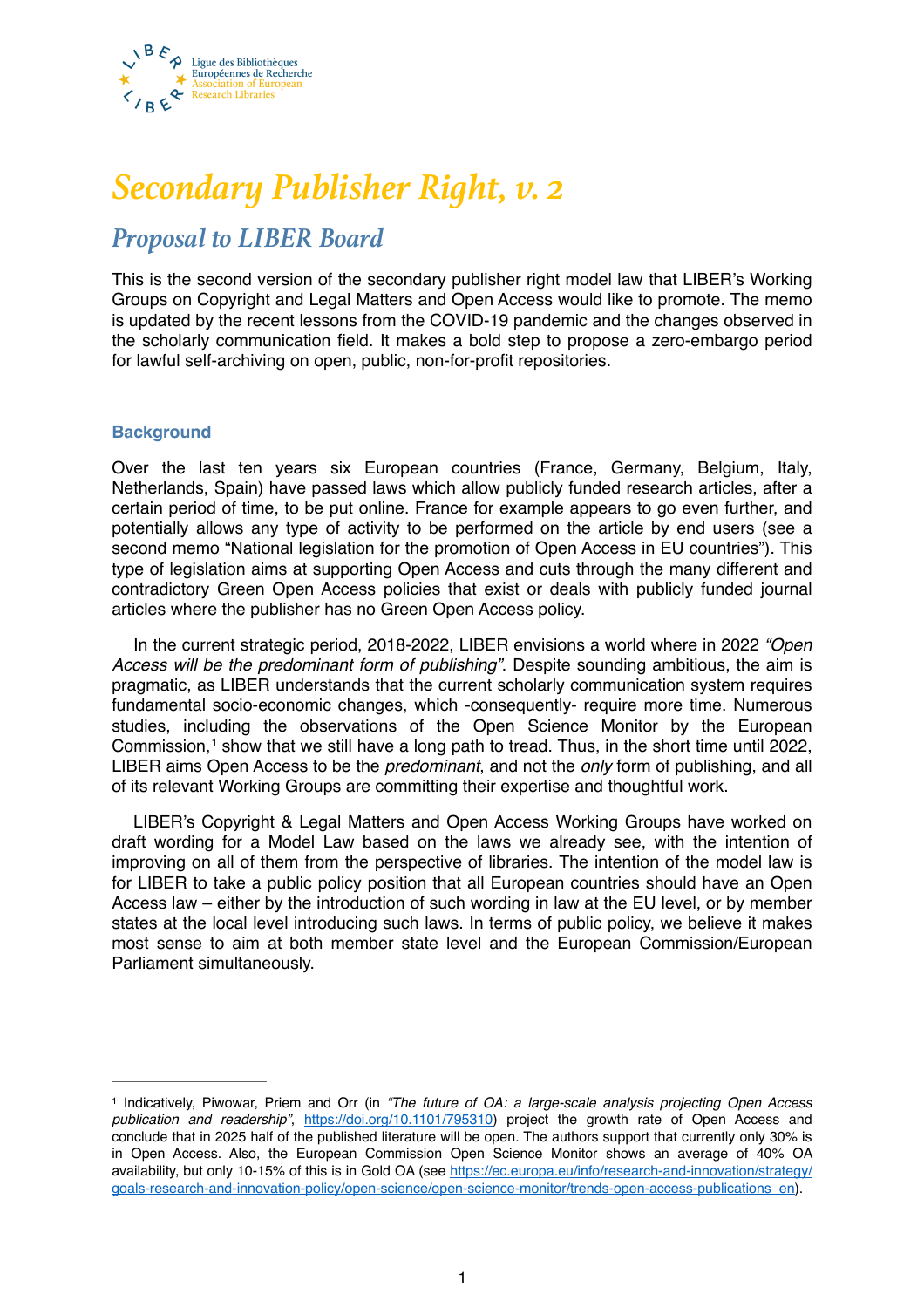

# *Secondary Publisher Right, v. 2*

## *Proposal to LIBER Board*

This is the second version of the secondary publisher right model law that LIBER's Working Groups on Copyright and Legal Matters and Open Access would like to promote. The memo is updated by the recent lessons from the COVID-19 pandemic and the changes observed in the scholarly communication field. It makes a bold step to propose a zero-embargo period for lawful self-archiving on open, public, non-for-profit repositories.

### **Background**

Over the last ten years six European countries (France, Germany, Belgium, Italy, Netherlands, Spain) have passed laws which allow publicly funded research articles, after a certain period of time, to be put online. France for example appears to go even further, and potentially allows any type of activity to be performed on the article by end users (see a second memo "National legislation for the promotion of Open Access in EU countries"). This type of legislation aims at supporting Open Access and cuts through the many different and contradictory Green Open Access policies that exist or deals with publicly funded journal articles where the publisher has no Green Open Access policy.

In the current strategic period, 2018-2022, LIBER envisions a world where in 2022 *"Open Access will be the predominant form of publishing"*. Despite sounding ambitious, the aim is pragmatic, as LIBER understands that the current scholarly communication system requires fundamental socio-economic changes, which -consequently- require more time. Numerous studies, including the observations of the Open Science Monitor by the European Commission, $<sup>1</sup>$  $<sup>1</sup>$  $<sup>1</sup>$ show that we still have a long path to tread. Thus, in the short time until 2022,</sup> LIBER aims Open Access to be the *predominant*, and not the *only* form of publishing, and all of its relevant Working Groups are committing their expertise and thoughtful work.

<span id="page-0-1"></span>LIBER's Copyright & Legal Matters and Open Access Working Groups have worked on draft wording for a Model Law based on the laws we already see, with the intention of improving on all of them from the perspective of libraries. The intention of the model law is for LIBER to take a public policy position that all European countries should have an Open Access law – either by the introduction of such wording in law at the EU level, or by member states at the local level introducing such laws. In terms of public policy, we believe it makes most sense to aim at both member state level and the European Commission/European Parliament simultaneously.

<span id="page-0-0"></span>Indicatively, Piwowar, Priem and Orr (in *"The future of OA: a large-scale analysis projecting Open Access* [1](#page-0-1) *publication and readership"*, <https://doi.org/10.1101/795310>) project the growth rate of Open Access and conclude that in 2025 half of the published literature will be open. The authors support that currently only 30% is in Open Access. Also, the European Commission Open Science Monitor shows an average of 40% OA [availability, but only 10-15% of this is in Gold OA \(see https://ec.europa.eu/info/research-and-innovation/strategy/](https://ec.europa.eu/info/research-and-innovation/strategy/goals-research-and-innovation-policy/open-science/open-science-monitor/trends-open-access-publications_en) goals-research-and-innovation-policy/open-science/open-science-monitor/trends-open-access-publications\_en).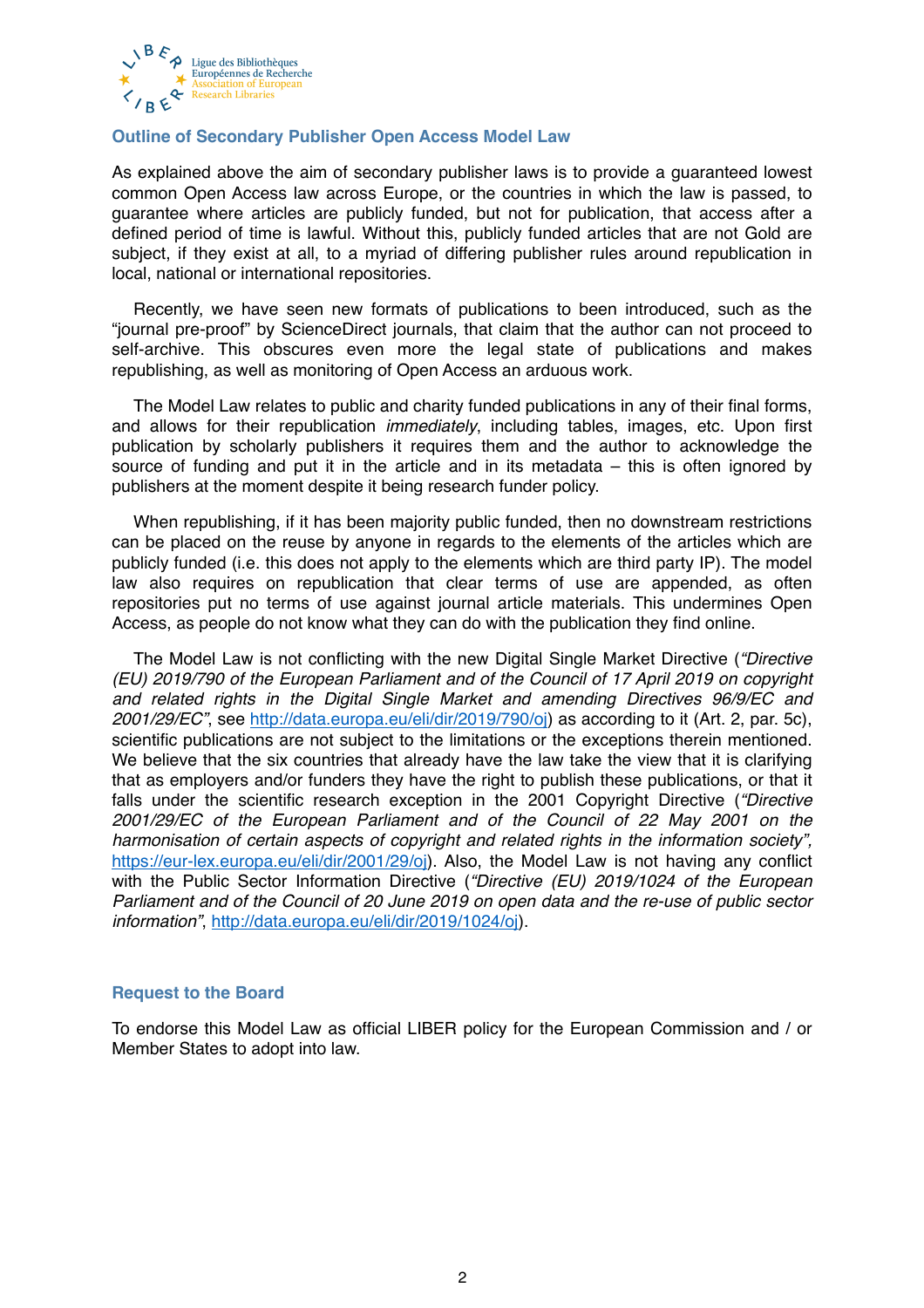

### **Outline of Secondary Publisher Open Access Model Law**

As explained above the aim of secondary publisher laws is to provide a guaranteed lowest common Open Access law across Europe, or the countries in which the law is passed, to guarantee where articles are publicly funded, but not for publication, that access after a defined period of time is lawful. Without this, publicly funded articles that are not Gold are subject, if they exist at all, to a myriad of differing publisher rules around republication in local, national or international repositories.

Recently, we have seen new formats of publications to been introduced, such as the "journal pre-proof" by ScienceDirect journals, that claim that the author can not proceed to self-archive. This obscures even more the legal state of publications and makes republishing, as well as monitoring of Open Access an arduous work.

The Model Law relates to public and charity funded publications in any of their final forms, and allows for their republication *immediately*, including tables, images, etc. Upon first publication by scholarly publishers it requires them and the author to acknowledge the source of funding and put it in the article and in its metadata  $-$  this is often ignored by publishers at the moment despite it being research funder policy.

When republishing, if it has been majority public funded, then no downstream restrictions can be placed on the reuse by anyone in regards to the elements of the articles which are publicly funded (i.e. this does not apply to the elements which are third party IP). The model law also requires on republication that clear terms of use are appended, as often repositories put no terms of use against journal article materials. This undermines Open Access, as people do not know what they can do with the publication they find online.

The Model Law is not conflicting with the new Digital Single Market Directive (*"Directive (EU) 2019/790 of the European Parliament and of the Council of 17 April 2019 on copyright and related rights in the Digital Single Market and amending Directives 96/9/EC and 2001/29/EC"*, see [http://data.europa.eu/eli/dir/2019/790/oj\)](http://data.europa.eu/eli/dir/2019/790/oj) as according to it (Art. 2, par. 5c), scientific publications are not subject to the limitations or the exceptions therein mentioned. We believe that the six countries that already have the law take the view that it is clarifying that as employers and/or funders they have the right to publish these publications, or that it falls under the scientific research exception in the 2001 Copyright Directive (*"Directive 2001/29/EC of the European Parliament and of the Council of 22 May 2001 on the harmonisation of certain aspects of copyright and related rights in the information society",*  <https://eur-lex.europa.eu/eli/dir/2001/29/oj>). Also, the Model Law is not having any conflict with the Public Sector Information Directive (*"Directive (EU) 2019/1024 of the European Parliament and of the Council of 20 June 2019 on open data and the re-use of public sector information"*, [http://data.europa.eu/eli/dir/2019/1024/oj\)](http://data.europa.eu/eli/dir/2019/1024/oj).

### **Request to the Board**

To endorse this Model Law as official LIBER policy for the European Commission and / or Member States to adopt into law.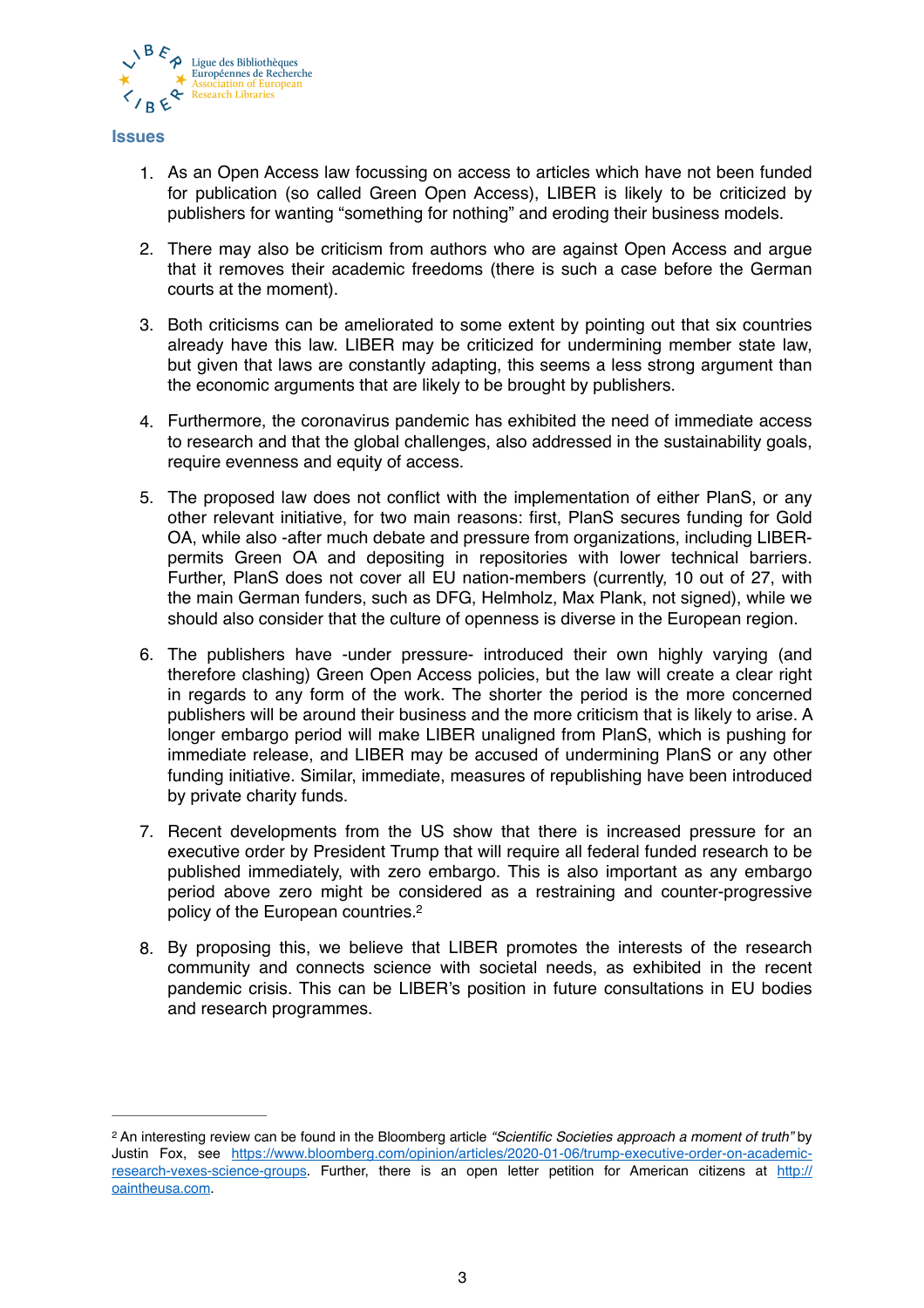

#### **Issues**

- 1. As an Open Access law focussing on access to articles which have not been funded for publication (so called Green Open Access), LIBER is likely to be criticized by publishers for wanting "something for nothing" and eroding their business models.
- 2. There may also be criticism from authors who are against Open Access and argue that it removes their academic freedoms (there is such a case before the German courts at the moment).
- 3. Both criticisms can be ameliorated to some extent by pointing out that six countries already have this law. LIBER may be criticized for undermining member state law, but given that laws are constantly adapting, this seems a less strong argument than the economic arguments that are likely to be brought by publishers.
- 4. Furthermore, the coronavirus pandemic has exhibited the need of immediate access to research and that the global challenges, also addressed in the sustainability goals, require evenness and equity of access.
- 5. The proposed law does not conflict with the implementation of either PlanS, or any other relevant initiative, for two main reasons: first, PlanS secures funding for Gold OA, while also -after much debate and pressure from organizations, including LIBERpermits Green OA and depositing in repositories with lower technical barriers. Further, PlanS does not cover all EU nation-members (currently, 10 out of 27, with the main German funders, such as DFG, Helmholz, Max Plank, not signed), while we should also consider that the culture of openness is diverse in the European region.
- 6. The publishers have -under pressure- introduced their own highly varying (and therefore clashing) Green Open Access policies, but the law will create a clear right in regards to any form of the work. The shorter the period is the more concerned publishers will be around their business and the more criticism that is likely to arise. A longer embargo period will make LIBER unaligned from PlanS, which is pushing for immediate release, and LIBER may be accused of undermining PlanS or any other funding initiative. Similar, immediate, measures of republishing have been introduced by private charity funds.
- 7. Recent developments from the US show that there is increased pressure for an executive order by President Trump that will require all federal funded research to be published immediately, with zero embargo. This is also important as any embargo period above zero might be considered as a restraining and counter-progressive policy of the European countries[.2](#page-2-0)
- <span id="page-2-1"></span>8. By proposing this, we believe that LIBER promotes the interests of the research community and connects science with societal needs, as exhibited in the recent pandemic crisis. This can be LIBER's position in future consultations in EU bodies and research programmes.

<span id="page-2-0"></span>An interesting review can be found in the Bloomberg article *"Scientific Societies approach a moment of truth"* by [2](#page-2-1) [Justin Fox, see https://www.bloomberg.com/opinion/articles/2020-01-06/trump-executive-order-on-academic](https://www.bloomberg.com/opinion/articles/2020-01-06/trump-executive-order-on-academic-research-vexes-science-groups)[research-vexes-science-groups. Further, there is an open letter petition for American citizens at http://](http://oaintheusa.com) oaintheusa.com.